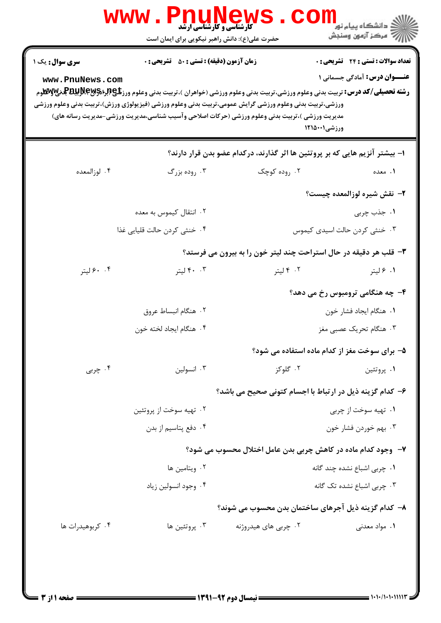| ورزشي،تربيت بدني وعلوم ورزشي گرايش عمومي،تربيت بدني وعلوم ورزشي (فيزيولوژي ورزش)،تربيت بدني وعلوم ورزشي<br>مدیریت ورزشی )،تربیت بدنی وعلوم ورزشی (حرکات اصلاحی وآسیب شناسی،مدیریت ورزشی-مدیریت رسانه های)<br>۱– بیشتر آنزیم هایی که بر پروتئین ها اثر گذارند، درکدام عضو بدن قرار دارند؟<br>۰۴ لوزالمعده<br>۰۳ روده بزرگ<br>۰۲ روده کوچک<br>۰۲ انتقال کیموس به معده<br>۰۴ خنثی کردن حالت قلیایی غذا<br>۳- قلب هر دقیقه در حال استراحت چند لیتر خون را به بیرون می فرستد؟<br>۰. ۶۰ لیتر<br>۰۰ ۰۳ لیتر<br>۰۲ ۴ لیتر<br>۰۲ هنگام انبساط عروق<br>۰۴ هنگام ايجاد لخته خون<br>۰۴ چربی<br>۰۲ گلوکز<br>۰۳ انسولین<br>۶– کدام گزینه ذیل در ارتباط با اجسام کتونی صحیح می باشد؟<br>۰۲ تهیه سوخت از پروتئین<br>۰۴ دفع پتاسيم از بدن<br>۷-۔ وجود کدام مادہ در کاهش چربی بدن عامل اختلال محسوب می شود؟ |                             | <b>رشته تحصیلی/کد درس:</b> تربیت بدنی وعلوم ورزشی،تربیت بدنی وعلوم ورزشی (خواهران )،تربیت بدنی وعلوم ورز <b>تگی (براگراپایا بالاپایالا)</b> | www.PnuNews.com |
|-------------------------------------------------------------------------------------------------------------------------------------------------------------------------------------------------------------------------------------------------------------------------------------------------------------------------------------------------------------------------------------------------------------------------------------------------------------------------------------------------------------------------------------------------------------------------------------------------------------------------------------------------------------------------------------------------------------------------------------------------------------------------------------------|-----------------------------|---------------------------------------------------------------------------------------------------------------------------------------------|-----------------|
|                                                                                                                                                                                                                                                                                                                                                                                                                                                                                                                                                                                                                                                                                                                                                                                           |                             | ورزشي12151                                                                                                                                  |                 |
|                                                                                                                                                                                                                                                                                                                                                                                                                                                                                                                                                                                                                                                                                                                                                                                           |                             |                                                                                                                                             |                 |
|                                                                                                                                                                                                                                                                                                                                                                                                                                                                                                                                                                                                                                                                                                                                                                                           | ۰۱ معده                     |                                                                                                                                             |                 |
|                                                                                                                                                                                                                                                                                                                                                                                                                                                                                                                                                                                                                                                                                                                                                                                           | ۲- نقش شیره لوزالمعده چیست؟ |                                                                                                                                             |                 |
|                                                                                                                                                                                                                                                                                                                                                                                                                                                                                                                                                                                                                                                                                                                                                                                           | ۰۱ جذب چربی                 |                                                                                                                                             |                 |
|                                                                                                                                                                                                                                                                                                                                                                                                                                                                                                                                                                                                                                                                                                                                                                                           |                             | ۰۳ خنثی کردن حالت اسیدی کیموس                                                                                                               |                 |
|                                                                                                                                                                                                                                                                                                                                                                                                                                                                                                                                                                                                                                                                                                                                                                                           |                             |                                                                                                                                             |                 |
|                                                                                                                                                                                                                                                                                                                                                                                                                                                                                                                                                                                                                                                                                                                                                                                           | ۰۱ ۶ لیتر                   |                                                                                                                                             |                 |
|                                                                                                                                                                                                                                                                                                                                                                                                                                                                                                                                                                                                                                                                                                                                                                                           |                             | ۴- چه هنگامی ترومبوس رخ می دهد؟                                                                                                             |                 |
|                                                                                                                                                                                                                                                                                                                                                                                                                                                                                                                                                                                                                                                                                                                                                                                           | ٠١. هنگام ايجاد فشار خون    |                                                                                                                                             |                 |
|                                                                                                                                                                                                                                                                                                                                                                                                                                                                                                                                                                                                                                                                                                                                                                                           | ۰۳ هنگام تحریک عصبی مغز     |                                                                                                                                             |                 |
|                                                                                                                                                                                                                                                                                                                                                                                                                                                                                                                                                                                                                                                                                                                                                                                           |                             | ۵- برای سوخت مغز از کدام ماده استفاده می شود؟                                                                                               |                 |
|                                                                                                                                                                                                                                                                                                                                                                                                                                                                                                                                                                                                                                                                                                                                                                                           | ۰۱ پروتئين                  |                                                                                                                                             |                 |
|                                                                                                                                                                                                                                                                                                                                                                                                                                                                                                                                                                                                                                                                                                                                                                                           |                             |                                                                                                                                             |                 |
|                                                                                                                                                                                                                                                                                                                                                                                                                                                                                                                                                                                                                                                                                                                                                                                           | ۰۱ تهیه سوخت از چربی        |                                                                                                                                             |                 |
|                                                                                                                                                                                                                                                                                                                                                                                                                                                                                                                                                                                                                                                                                                                                                                                           | ۰۳ بهم خوردن فشار خون       |                                                                                                                                             |                 |
|                                                                                                                                                                                                                                                                                                                                                                                                                                                                                                                                                                                                                                                                                                                                                                                           |                             |                                                                                                                                             |                 |
| ۰۲ ویتامین ها                                                                                                                                                                                                                                                                                                                                                                                                                                                                                                                                                                                                                                                                                                                                                                             | ۰۱ چربی اشباع نشده چند گانه |                                                                                                                                             |                 |
| ۰۴ وجود انسولين زياد                                                                                                                                                                                                                                                                                                                                                                                                                                                                                                                                                                                                                                                                                                                                                                      | ۰۳ چربی اشباع نشده تک گانه  |                                                                                                                                             |                 |
| ۸– کدام گزینه ذیل آجرهای ساختمان بدن محسوب می شوند؟                                                                                                                                                                                                                                                                                                                                                                                                                                                                                                                                                                                                                                                                                                                                       |                             |                                                                                                                                             |                 |
| ۰۳ پروتئين ها<br>۰۴ کربوهیدرات ها<br>۰۲ چربی های هیدروژنه                                                                                                                                                                                                                                                                                                                                                                                                                                                                                                                                                                                                                                                                                                                                 | ۰۱ مواد معدنی               |                                                                                                                                             |                 |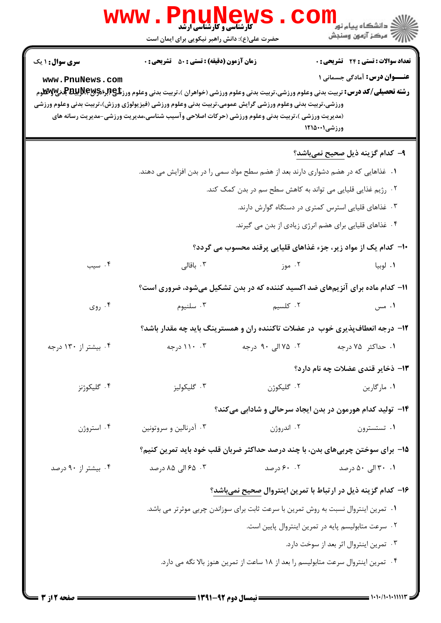|                                           | <b>www.Pnunew</b><br><b>کارشناسی و کارشناسی ارشد</b><br>حضرت علی(ع): دانش راهبر نیکویی برای ایمان است                                                                                                                                                                                                                                                                                                                               |                                                                                     | ڪ دانشڪاه پيام نور<br>ا∛ مرڪز آزمون وسنڊش                                                          |  |  |
|-------------------------------------------|-------------------------------------------------------------------------------------------------------------------------------------------------------------------------------------------------------------------------------------------------------------------------------------------------------------------------------------------------------------------------------------------------------------------------------------|-------------------------------------------------------------------------------------|----------------------------------------------------------------------------------------------------|--|--|
| <b>سری سوال : ۱ یک</b><br>www.PnuNews.com | <b>زمان آزمون (دقیقه) : تستی : 50 ٪ تشریحی : 0</b><br><b>رشته تحصیلی/کد درس:</b> تربیت بدنی وعلوم ورزشی،تربیت بدنی وعلوم ورزشی (خواهران )،تربیت بدنی وعلوم ورز <b>تگی (برای پاپانگلو</b> هرم <b>) برایش پاپانگلو</b> م<br>ورزشي،تربيت بدني وعلوم ورزشي گرايش عمومي،تربيت بدني وعلوم ورزشي (فيزيولوژي ورزش)،تربيت بدني وعلوم ورزشي<br>(مدیریت ورزشی )،تربیت بدنی وعلوم ورزشی (حرکات اصلاحی وآسیب شناسی،مدیریت ورزشی-مدیریت رسانه های |                                                                                     | <b>تعداد سوالات : تستی : 24 گشریحی : 0</b><br><b>عنـــوان درس:</b> آمادگی جسمانی ۱<br>ورزشی۱۲۱۵۰۰۱ |  |  |
|                                           |                                                                                                                                                                                                                                                                                                                                                                                                                                     |                                                                                     | ۹– کدام گزینه ذیل صحیح نمیباشد؟                                                                    |  |  |
|                                           |                                                                                                                                                                                                                                                                                                                                                                                                                                     | ۰۱ غذاهایی که در هضم دشواری دارند بعد از هضم سطح مواد سمی را در بدن افزایش می دهند. |                                                                                                    |  |  |
|                                           |                                                                                                                                                                                                                                                                                                                                                                                                                                     | ۰۲ رژیم غذایی قلیایی می تواند به کاهش سطح سم در بدن کمک کند.                        |                                                                                                    |  |  |
|                                           |                                                                                                                                                                                                                                                                                                                                                                                                                                     | ۰۳ غذاهای قلیایی استرس کمتری در دستگاه گوارش دارند.                                 |                                                                                                    |  |  |
|                                           |                                                                                                                                                                                                                                                                                                                                                                                                                                     | ۰۴ غذاهای قلیایی برای هضم انرژی زیادی از بدن می گیرند.                              |                                                                                                    |  |  |
|                                           |                                                                                                                                                                                                                                                                                                                                                                                                                                     |                                                                                     | ∙ا− کدام یک از مواد زیر، جزء غذاهای قلیایی پرقند محسوب می گردد؟                                    |  |  |
| ۰۴ سیب                                    | ۰۳ باقالی                                                                                                                                                                                                                                                                                                                                                                                                                           | ۰۲ موز                                                                              | ۰۱ لوبيا                                                                                           |  |  |
|                                           |                                                                                                                                                                                                                                                                                                                                                                                                                                     |                                                                                     | <b>۱۱- کدام ماده برای آنزیمهای ضد اکسید کننده که در بدن تشکیل میشود، ضروری است؟</b>                |  |  |
| ۰۴ روی                                    | ۰۳ سلنيوم                                                                                                                                                                                                                                                                                                                                                                                                                           | ۲. کلسیم                                                                            | ۰۱ مس                                                                                              |  |  |
|                                           |                                                                                                                                                                                                                                                                                                                                                                                                                                     |                                                                                     | ۱۲- درجه انعطافپذیری خوب در عضلات تاکننده ران و همسترینگ باید چه مقدار باشد؟                       |  |  |
| ۰۴ بیشتر از ۱۳۰ درجه                      | ۰۳ ۱۱۰ درجه                                                                                                                                                                                                                                                                                                                                                                                                                         | ۰۲ ۷۵ الی ۹۰ درجه                                                                   | ۰۱ حداکثر ۷۵ درجه                                                                                  |  |  |
|                                           |                                                                                                                                                                                                                                                                                                                                                                                                                                     |                                                                                     | ۱۳- ذخایر قندی عضلات چه نام دارد؟                                                                  |  |  |
| ۰۴ گلیکوژنز                               | ۰۳ گلیکولیز                                                                                                                                                                                                                                                                                                                                                                                                                         | ٠٢ گليکوژن                                                                          | ۰۱ مارگارين                                                                                        |  |  |
|                                           | ۱۴– تولید کدام هورمون در بدن ایجاد سرحالی و شادابی میکند؟                                                                                                                                                                                                                                                                                                                                                                           |                                                                                     |                                                                                                    |  |  |
| ۰۴ استروژن                                | ۰۳ آدرنالین و سروتونین                                                                                                                                                                                                                                                                                                                                                                                                              | ۰۲ اندروژن                                                                          | ۰۱ تستسترون                                                                                        |  |  |
|                                           |                                                                                                                                                                                                                                                                                                                                                                                                                                     |                                                                                     | ۱۵– برای سوختن چربیهای بدن، با چند درصد حداکثر ضربان قلب خود باید تمرین کنیم؟                      |  |  |
| ۰۴ بیشتر از ۹۰ درصد                       | ۰۳ . ۶۵ الی ۸۵ درصد                                                                                                                                                                                                                                                                                                                                                                                                                 | ۰. ۶۰ درصد                                                                          | ۰۱ ۳۰ الی ۵۰ درصد                                                                                  |  |  |
|                                           |                                                                                                                                                                                                                                                                                                                                                                                                                                     |                                                                                     | ۱۶– کدام گزینه ذیل در ارتباط با تمرین اینتروال <u>صحیح نمیباشد</u> ؟                               |  |  |
|                                           |                                                                                                                                                                                                                                                                                                                                                                                                                                     | ۰۱ تمرین اینتروال نسبت به روش تمرین با سرعت ثابت برای سوزاندن چربی موثرتر می باشد.  |                                                                                                    |  |  |
|                                           |                                                                                                                                                                                                                                                                                                                                                                                                                                     |                                                                                     | ۰۲ سرعت متابولیسم پایه در تمرین اینتروال پایین است.                                                |  |  |
|                                           |                                                                                                                                                                                                                                                                                                                                                                                                                                     |                                                                                     | ۰۳ تمرین اینتروال اثر بعد از سوخت دارد.                                                            |  |  |
|                                           |                                                                                                                                                                                                                                                                                                                                                                                                                                     | ۰۴ تمرین اینتروال سرعت متابولیسم را بعد از ۱۸ ساعت از تمرین هنوز بالا نگه می دارد.  |                                                                                                    |  |  |
|                                           |                                                                                                                                                                                                                                                                                                                                                                                                                                     |                                                                                     |                                                                                                    |  |  |